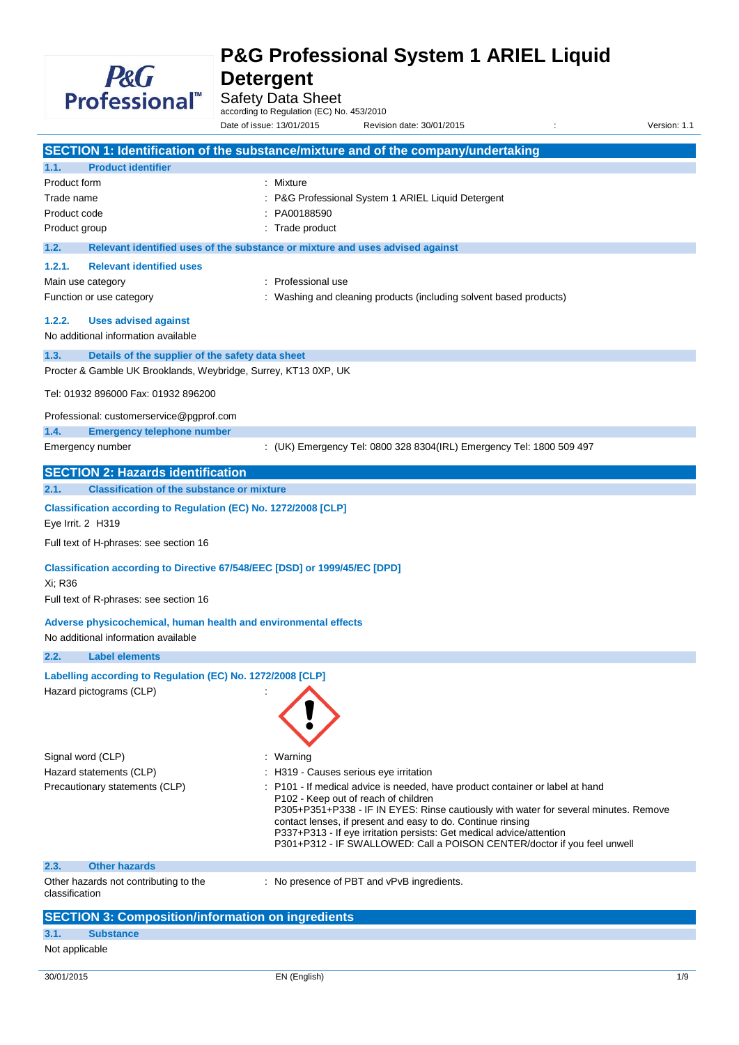

# **P&G Professional System 1 ARIEL Liquid**

**Detergent** Safety Data Sheet

according to Regulation (EC) No. 453/2010

Date of issue: 13/01/2015 Revision date: 30/01/2015 : Version: 1.1

|                                                                            | SECTION 1: Identification of the substance/mixture and of the company/undertaking                                                   |  |  |  |
|----------------------------------------------------------------------------|-------------------------------------------------------------------------------------------------------------------------------------|--|--|--|
| <b>Product identifier</b><br>1.1.                                          |                                                                                                                                     |  |  |  |
| Product form                                                               | : Mixture                                                                                                                           |  |  |  |
| Trade name                                                                 | P&G Professional System 1 ARIEL Liquid Detergent                                                                                    |  |  |  |
| Product code                                                               | PA00188590                                                                                                                          |  |  |  |
| Product group                                                              | : Trade product                                                                                                                     |  |  |  |
| 1.2.                                                                       | Relevant identified uses of the substance or mixture and uses advised against                                                       |  |  |  |
|                                                                            |                                                                                                                                     |  |  |  |
| 1.2.1.<br><b>Relevant identified uses</b>                                  |                                                                                                                                     |  |  |  |
| Main use category                                                          | : Professional use                                                                                                                  |  |  |  |
| Function or use category                                                   | : Washing and cleaning products (including solvent based products)                                                                  |  |  |  |
| 1.2.2.<br><b>Uses advised against</b>                                      |                                                                                                                                     |  |  |  |
| No additional information available                                        |                                                                                                                                     |  |  |  |
| 1.3.<br>Details of the supplier of the safety data sheet                   |                                                                                                                                     |  |  |  |
| Procter & Gamble UK Brooklands, Weybridge, Surrey, KT13 0XP, UK            |                                                                                                                                     |  |  |  |
| Tel: 01932 896000 Fax: 01932 896200                                        |                                                                                                                                     |  |  |  |
|                                                                            |                                                                                                                                     |  |  |  |
| Professional: customerservice@pgprof.com                                   |                                                                                                                                     |  |  |  |
| 1.4.<br><b>Emergency telephone number</b>                                  |                                                                                                                                     |  |  |  |
| Emergency number                                                           | : (UK) Emergency Tel: 0800 328 8304(IRL) Emergency Tel: 1800 509 497                                                                |  |  |  |
| <b>SECTION 2: Hazards identification</b>                                   |                                                                                                                                     |  |  |  |
| 2.1.<br><b>Classification of the substance or mixture</b>                  |                                                                                                                                     |  |  |  |
| Classification according to Regulation (EC) No. 1272/2008 [CLP]            |                                                                                                                                     |  |  |  |
| Eye Irrit. 2 H319                                                          |                                                                                                                                     |  |  |  |
|                                                                            |                                                                                                                                     |  |  |  |
| Full text of H-phrases: see section 16                                     |                                                                                                                                     |  |  |  |
| Classification according to Directive 67/548/EEC [DSD] or 1999/45/EC [DPD] |                                                                                                                                     |  |  |  |
| Xi; R36                                                                    |                                                                                                                                     |  |  |  |
| Full text of R-phrases: see section 16                                     |                                                                                                                                     |  |  |  |
| Adverse physicochemical, human health and environmental effects            |                                                                                                                                     |  |  |  |
| No additional information available                                        |                                                                                                                                     |  |  |  |
| 2.2.<br><b>Label elements</b>                                              |                                                                                                                                     |  |  |  |
|                                                                            |                                                                                                                                     |  |  |  |
| Labelling according to Regulation (EC) No. 1272/2008 [CLP]                 |                                                                                                                                     |  |  |  |
| Hazard pictograms (CLP)                                                    |                                                                                                                                     |  |  |  |
|                                                                            |                                                                                                                                     |  |  |  |
|                                                                            |                                                                                                                                     |  |  |  |
|                                                                            |                                                                                                                                     |  |  |  |
| Signal word (CLP)                                                          | : Warning                                                                                                                           |  |  |  |
| Hazard statements (CLP)                                                    | : H319 - Causes serious eye irritation                                                                                              |  |  |  |
| Precautionary statements (CLP)                                             | : P101 - If medical advice is needed, have product container or label at hand<br>P102 - Keep out of reach of children               |  |  |  |
|                                                                            | P305+P351+P338 - IF IN EYES: Rinse cautiously with water for several minutes. Remove                                                |  |  |  |
|                                                                            | contact lenses, if present and easy to do. Continue rinsing<br>P337+P313 - If eye irritation persists: Get medical advice/attention |  |  |  |
|                                                                            | P301+P312 - IF SWALLOWED: Call a POISON CENTER/doctor if you feel unwell                                                            |  |  |  |
| <b>Other hazards</b><br>2.3.                                               |                                                                                                                                     |  |  |  |
| Other hazards not contributing to the                                      | : No presence of PBT and vPvB ingredients.                                                                                          |  |  |  |
| classification                                                             |                                                                                                                                     |  |  |  |
|                                                                            |                                                                                                                                     |  |  |  |
| <b>SECTION 3: Composition/information on ingredients</b>                   |                                                                                                                                     |  |  |  |
| 3.1.<br><b>Substance</b>                                                   |                                                                                                                                     |  |  |  |

### Not applicable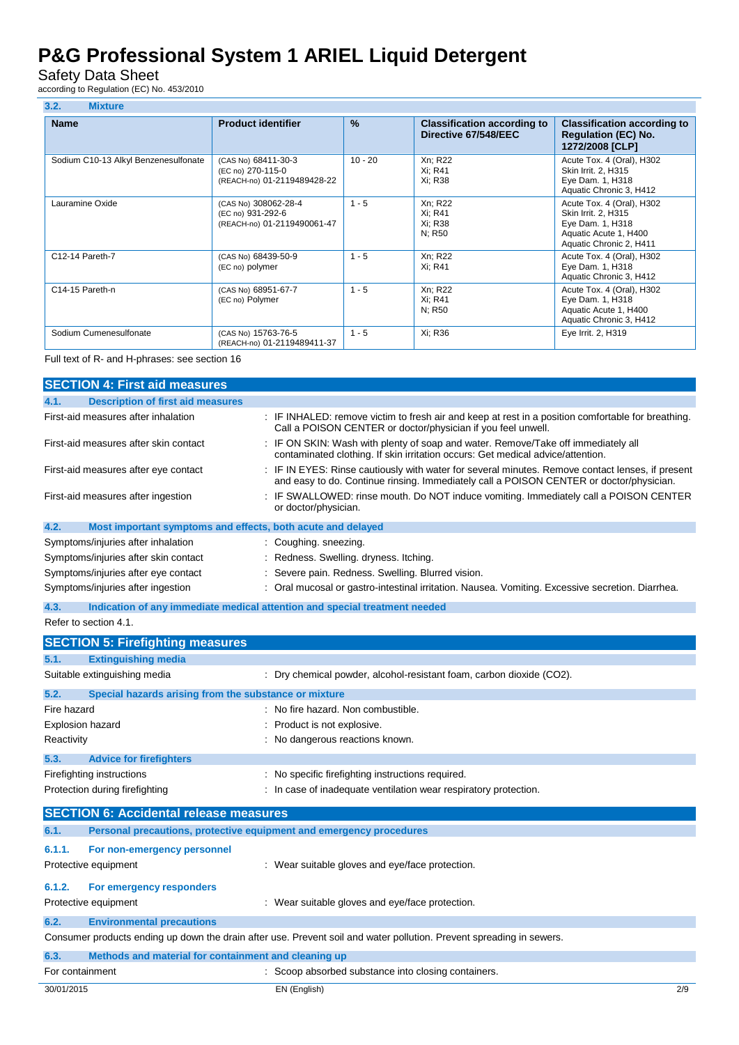Safety Data Sheet

according to Regulation (EC) No. 453/2010

| 3.2.<br><b>Mixture</b>               |                                                                          |               |                                                            |                                                                                                                          |
|--------------------------------------|--------------------------------------------------------------------------|---------------|------------------------------------------------------------|--------------------------------------------------------------------------------------------------------------------------|
| <b>Name</b>                          | <b>Product identifier</b>                                                | $\frac{9}{6}$ | <b>Classification according to</b><br>Directive 67/548/EEC | <b>Classification according to</b><br><b>Regulation (EC) No.</b><br>1272/2008 [CLP]                                      |
| Sodium C10-13 Alkyl Benzenesulfonate | (CAS No) 68411-30-3<br>(EC no) 270-115-0<br>(REACH-no) 01-2119489428-22  | $10 - 20$     | Xn; R22<br>Xi: R41<br>Xi: R38                              | Acute Tox. 4 (Oral), H302<br>Skin Irrit. 2, H315<br>Eye Dam. 1, H318<br>Aquatic Chronic 3, H412                          |
| Lauramine Oxide                      | (CAS No) 308062-28-4<br>(EC no) 931-292-6<br>(REACH-no) 01-2119490061-47 | $1 - 5$       | Xn; R22<br>Xi: R41<br>Xi: R38<br>N: R50                    | Acute Tox. 4 (Oral), H302<br>Skin Irrit. 2, H315<br>Eye Dam. 1, H318<br>Aquatic Acute 1, H400<br>Aquatic Chronic 2, H411 |
| C12-14 Pareth-7                      | (CAS No) 68439-50-9<br>(EC no) polymer                                   | $1 - 5$       | Xn; R22<br>Xi: R41                                         | Acute Tox. 4 (Oral), H302<br>Eye Dam. 1, H318<br>Aquatic Chronic 3, H412                                                 |
| C14-15 Pareth-n                      | (CAS No) 68951-67-7<br>(EC no) Polymer                                   | $1 - 5$       | Xn; R22<br>Xi: R41<br>N: R50                               | Acute Tox. 4 (Oral), H302<br>Eye Dam. 1, H318<br>Aquatic Acute 1, H400<br>Aquatic Chronic 3, H412                        |
| Sodium Cumenesulfonate               | (CAS No) 15763-76-5<br>(REACH-no) 01-2119489411-37                       | $1 - 5$       | Xi: R36                                                    | Eye Irrit. 2, H319                                                                                                       |

Full text of R- and H-phrases: see section 16

|             | <b>SECTION 4: First aid measures</b>                                |                                                                                                                                                                                             |  |  |  |
|-------------|---------------------------------------------------------------------|---------------------------------------------------------------------------------------------------------------------------------------------------------------------------------------------|--|--|--|
| 4.1.        | <b>Description of first aid measures</b>                            |                                                                                                                                                                                             |  |  |  |
|             | First-aid measures after inhalation                                 | : IF INHALED: remove victim to fresh air and keep at rest in a position comfortable for breathing.<br>Call a POISON CENTER or doctor/physician if you feel unwell.                          |  |  |  |
|             | First-aid measures after skin contact                               | : IF ON SKIN: Wash with plenty of soap and water. Remove/Take off immediately all<br>contaminated clothing. If skin irritation occurs: Get medical advice/attention.                        |  |  |  |
|             | First-aid measures after eye contact                                | : IF IN EYES: Rinse cautiously with water for several minutes. Remove contact lenses, if present<br>and easy to do. Continue rinsing. Immediately call a POISON CENTER or doctor/physician. |  |  |  |
|             | First-aid measures after ingestion                                  | IF SWALLOWED: rinse mouth. Do NOT induce vomiting. Immediately call a POISON CENTER<br>or doctor/physician.                                                                                 |  |  |  |
| 4.2.        | Most important symptoms and effects, both acute and delayed         |                                                                                                                                                                                             |  |  |  |
|             | Symptoms/injuries after inhalation                                  | : Coughing. sneezing.                                                                                                                                                                       |  |  |  |
|             | Symptoms/injuries after skin contact                                | : Redness. Swelling. dryness. Itching.                                                                                                                                                      |  |  |  |
|             | Symptoms/injuries after eye contact                                 | : Severe pain. Redness. Swelling. Blurred vision.                                                                                                                                           |  |  |  |
|             | Symptoms/injuries after ingestion                                   | : Oral mucosal or gastro-intestinal irritation. Nausea. Vomiting. Excessive secretion. Diarrhea.                                                                                            |  |  |  |
| 4.3.        |                                                                     | Indication of any immediate medical attention and special treatment needed                                                                                                                  |  |  |  |
|             | Refer to section 4.1.                                               |                                                                                                                                                                                             |  |  |  |
|             | <b>SECTION 5: Firefighting measures</b>                             |                                                                                                                                                                                             |  |  |  |
| 5.1.        | <b>Extinguishing media</b>                                          |                                                                                                                                                                                             |  |  |  |
|             | Suitable extinguishing media                                        | : Dry chemical powder, alcohol-resistant foam, carbon dioxide (CO2).                                                                                                                        |  |  |  |
| 5.2.        | Special hazards arising from the substance or mixture               |                                                                                                                                                                                             |  |  |  |
| Fire hazard |                                                                     | : No fire hazard. Non combustible.                                                                                                                                                          |  |  |  |
|             | <b>Explosion hazard</b>                                             | Product is not explosive.                                                                                                                                                                   |  |  |  |
| Reactivity  |                                                                     | : No dangerous reactions known.                                                                                                                                                             |  |  |  |
| 5.3.        | <b>Advice for firefighters</b>                                      |                                                                                                                                                                                             |  |  |  |
|             | Firefighting instructions                                           | : No specific firefighting instructions required.                                                                                                                                           |  |  |  |
|             | Protection during firefighting                                      | : In case of inadequate ventilation wear respiratory protection.                                                                                                                            |  |  |  |
|             | <b>SECTION 6: Accidental release measures</b>                       |                                                                                                                                                                                             |  |  |  |
| 6.1.        | Personal precautions, protective equipment and emergency procedures |                                                                                                                                                                                             |  |  |  |
| 6.1.1.      | For non-emergency personnel                                         |                                                                                                                                                                                             |  |  |  |
|             | Protective equipment                                                | : Wear suitable gloves and eye/face protection.                                                                                                                                             |  |  |  |
| 6.1.2.      | For emergency responders                                            |                                                                                                                                                                                             |  |  |  |
|             | Protective equipment                                                | : Wear suitable gloves and eye/face protection.                                                                                                                                             |  |  |  |
| 6.2.        | <b>Environmental precautions</b>                                    |                                                                                                                                                                                             |  |  |  |
|             |                                                                     | Consumer products ending up down the drain after use. Prevent soil and water pollution. Prevent spreading in sewers.                                                                        |  |  |  |
|             |                                                                     |                                                                                                                                                                                             |  |  |  |

| 6.3.            | Methods and material for containment and cleaning up |                                                     |     |
|-----------------|------------------------------------------------------|-----------------------------------------------------|-----|
| For containment |                                                      | : Scoop absorbed substance into closing containers. |     |
| 30/01/2015      |                                                      | EN (English)                                        | 2/9 |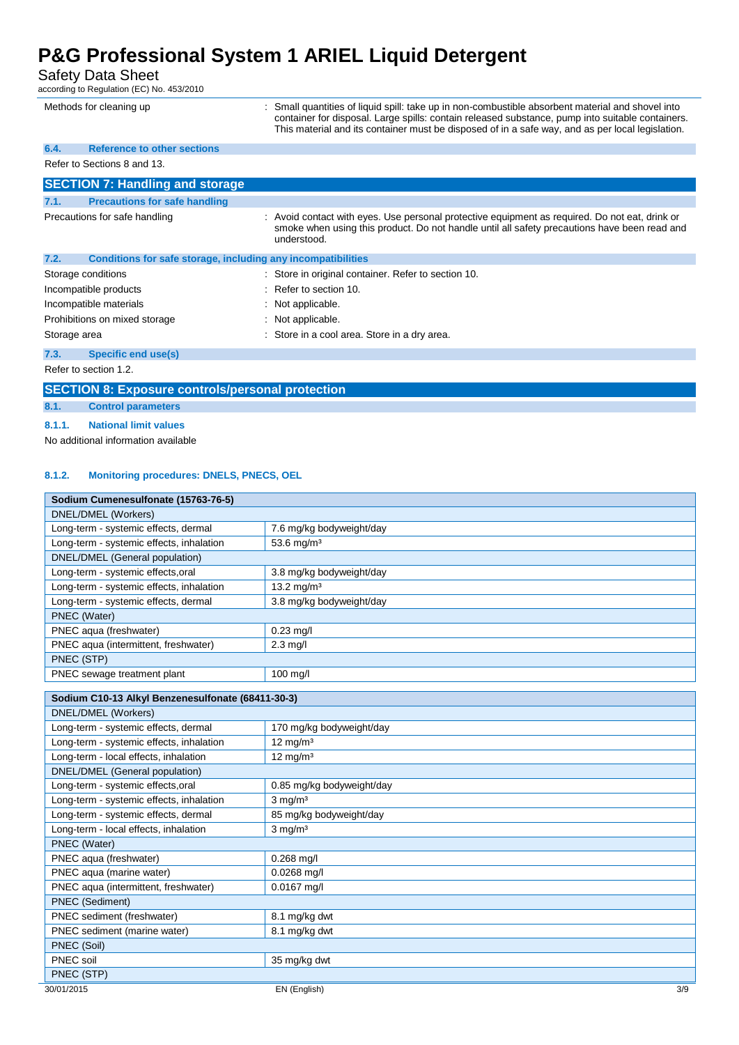### Safety Data Sheet

according to Regulation (EC) No. 453/2010

| Methods for cleaning up                      | : Small quantities of liquid spill: take up in non-combustible absorbent material and shovel into<br>container for disposal. Large spills: contain released substance, pump into suitable containers.<br>This material and its container must be disposed of in a safe way, and as per local legislation. |
|----------------------------------------------|-----------------------------------------------------------------------------------------------------------------------------------------------------------------------------------------------------------------------------------------------------------------------------------------------------------|
| <b>Reference to other sections</b><br>6.4.   |                                                                                                                                                                                                                                                                                                           |
| Refer to Sections 8 and 13.                  |                                                                                                                                                                                                                                                                                                           |
| <b>SECTION 7: Handling and storage</b>       |                                                                                                                                                                                                                                                                                                           |
| <b>Precautions for safe handling</b><br>7.1. |                                                                                                                                                                                                                                                                                                           |
| Precautions for safe handling                | : Avoid contact with eyes. Use personal protective equipment as required. Do not eat, drink or<br>smoke when using this product. Do not handle until all safety precautions have been read and<br>understood.                                                                                             |
| 7.2.                                         | Conditions for safe storage, including any incompatibilities                                                                                                                                                                                                                                              |
| Storage conditions                           | : Store in original container. Refer to section 10.                                                                                                                                                                                                                                                       |
| Incompatible products                        | : Refer to section 10.                                                                                                                                                                                                                                                                                    |
| Incompatible materials                       | : Not applicable.                                                                                                                                                                                                                                                                                         |
| Prohibitions on mixed storage                | : Not applicable.                                                                                                                                                                                                                                                                                         |
| Storage area                                 | : Store in a cool area. Store in a dry area.                                                                                                                                                                                                                                                              |
| <b>Specific end use(s)</b><br>7.3.           |                                                                                                                                                                                                                                                                                                           |
| Refer to section 1.2.                        |                                                                                                                                                                                                                                                                                                           |

**SECTION 8: Exposure controls/personal protection**

#### **8.1. Control parameters**

**8.1.1. National limit values**

No additional information available

### **8.1.2. Monitoring procedures: DNELS, PNECS, OEL**

| Sodium Cumenesulfonate (15763-76-5)      |                          |  |
|------------------------------------------|--------------------------|--|
| DNEL/DMEL (Workers)                      |                          |  |
| Long-term - systemic effects, dermal     | 7.6 mg/kg bodyweight/day |  |
| Long-term - systemic effects, inhalation | 53.6 mg/m <sup>3</sup>   |  |
| DNEL/DMEL (General population)           |                          |  |
| Long-term - systemic effects, oral       | 3.8 mg/kg bodyweight/day |  |
| Long-term - systemic effects, inhalation | 13.2 mg/m <sup>3</sup>   |  |
| Long-term - systemic effects, dermal     | 3.8 mg/kg bodyweight/day |  |
| PNEC (Water)                             |                          |  |
| PNEC aqua (freshwater)                   | $0.23$ mg/l              |  |
| PNEC aqua (intermittent, freshwater)     | $2.3$ mg/l               |  |
| PNEC (STP)                               |                          |  |
| PNEC sewage treatment plant              | $100$ mg/                |  |
|                                          |                          |  |

| Sodium C10-13 Alkyl Benzenesulfonate (68411-30-3) |                           |     |
|---------------------------------------------------|---------------------------|-----|
| DNEL/DMEL (Workers)                               |                           |     |
| Long-term - systemic effects, dermal              | 170 mg/kg bodyweight/day  |     |
| Long-term - systemic effects, inhalation          | $12 \text{ mg/m}^3$       |     |
| Long-term - local effects, inhalation             | $12 \text{ mg/m}^3$       |     |
| DNEL/DMEL (General population)                    |                           |     |
| Long-term - systemic effects, oral                | 0.85 mg/kg bodyweight/day |     |
| Long-term - systemic effects, inhalation          | $3$ mg/m <sup>3</sup>     |     |
| Long-term - systemic effects, dermal              | 85 mg/kg bodyweight/day   |     |
| Long-term - local effects, inhalation             | $3$ mg/m <sup>3</sup>     |     |
| PNEC (Water)                                      |                           |     |
| PNEC aqua (freshwater)                            | $0.268$ mg/l              |     |
| PNEC aqua (marine water)                          | $0.0268$ mg/l             |     |
| PNEC aqua (intermittent, freshwater)              | $0.0167$ mg/l             |     |
| <b>PNEC (Sediment)</b>                            |                           |     |
| PNEC sediment (freshwater)                        | 8.1 mg/kg dwt             |     |
| PNEC sediment (marine water)                      | 8.1 mg/kg dwt             |     |
| PNEC (Soil)                                       |                           |     |
| PNEC soil                                         | 35 mg/kg dwt              |     |
| PNEC (STP)                                        |                           |     |
| 30/01/2015                                        | EN (English)              | 3/9 |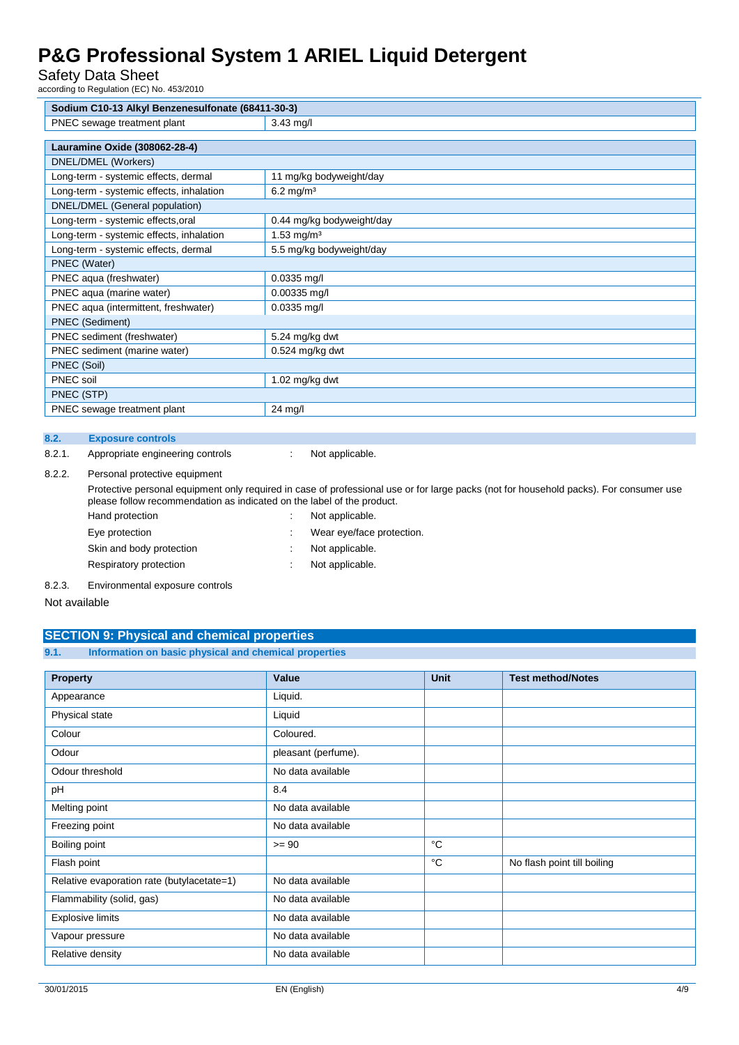Safety Data Sheet

according to Regulation (EC) No. 453/2010

| Sodium C10-13 Alkyl Benzenesulfonate (68411-30-3) |                           |  |
|---------------------------------------------------|---------------------------|--|
| PNEC sewage treatment plant                       | $3.43$ mg/l               |  |
|                                                   |                           |  |
| Lauramine Oxide (308062-28-4)                     |                           |  |
| DNEL/DMEL (Workers)                               |                           |  |
| Long-term - systemic effects, dermal              | 11 mg/kg bodyweight/day   |  |
| Long-term - systemic effects, inhalation          | $6.2 \text{ mg/m}^3$      |  |
| DNEL/DMEL (General population)                    |                           |  |
| Long-term - systemic effects, oral                | 0.44 mg/kg bodyweight/day |  |
| Long-term - systemic effects, inhalation          | 1.53 mg/m <sup>3</sup>    |  |
| Long-term - systemic effects, dermal              | 5.5 mg/kg bodyweight/day  |  |
| PNEC (Water)                                      |                           |  |
| PNEC aqua (freshwater)                            | $0.0335$ mg/l             |  |
| PNEC aqua (marine water)                          | $0.00335$ mg/l            |  |
| PNEC aqua (intermittent, freshwater)              | $0.0335$ mg/l             |  |
| <b>PNEC</b> (Sediment)                            |                           |  |
| PNEC sediment (freshwater)                        | 5.24 mg/kg dwt            |  |
| PNEC sediment (marine water)                      | $0.524$ mg/kg dwt         |  |
| PNEC (Soil)                                       |                           |  |
| PNEC soil                                         | 1.02 mg/kg dwt            |  |
| PNEC (STP)                                        |                           |  |
| PNEC sewage treatment plant                       | 24 mg/l                   |  |

#### **8.2. Exposure controls**

8.2.1. Appropriate engineering controls : Not applicable.

#### 8.2.2. Personal protective equipment

Protective personal equipment only required in case of professional use or for large packs (not for household packs). For consumer use please follow recommendation as indicated on the label of the product.

| Hand protection          | ٠ | Not applicable.           |
|--------------------------|---|---------------------------|
| Eye protection           |   | Wear eye/face protection. |
| Skin and body protection |   | Not applicable.           |
| Respiratory protection   |   | Not applicable.           |
|                          |   |                           |

8.2.3. Environmental exposure controls

Not available

### **SECTION 9: Physical and chemical properties**

#### **9.1. Information on basic physical and chemical properties**

| <b>Property</b>                            | Value               | <b>Unit</b> | <b>Test method/Notes</b>    |
|--------------------------------------------|---------------------|-------------|-----------------------------|
| Appearance                                 | Liquid.             |             |                             |
| Physical state                             | Liquid              |             |                             |
| Colour                                     | Coloured.           |             |                             |
| Odour                                      | pleasant (perfume). |             |                             |
| Odour threshold                            | No data available   |             |                             |
| pH                                         | 8.4                 |             |                             |
| Melting point                              | No data available   |             |                             |
| Freezing point                             | No data available   |             |                             |
| Boiling point                              | $>= 90$             | °C          |                             |
| Flash point                                |                     | °C          | No flash point till boiling |
| Relative evaporation rate (butylacetate=1) | No data available   |             |                             |
| Flammability (solid, gas)                  | No data available   |             |                             |
| <b>Explosive limits</b>                    | No data available   |             |                             |
| Vapour pressure                            | No data available   |             |                             |
| Relative density                           | No data available   |             |                             |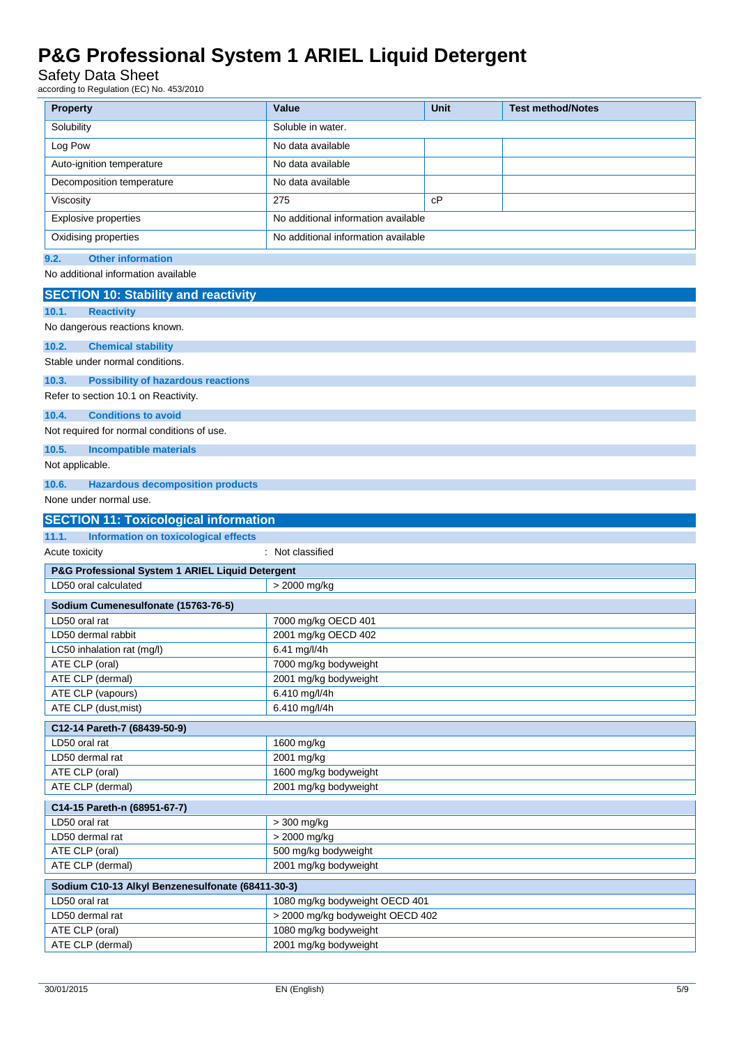### Safety Data Sheet

according to Regulation (EC) No. 453/2010

| <b>Property</b>                                      | Value                                  | Unit | <b>Test method/Notes</b> |
|------------------------------------------------------|----------------------------------------|------|--------------------------|
| Solubility                                           | Soluble in water.                      |      |                          |
| Log Pow                                              | No data available                      |      |                          |
| Auto-ignition temperature                            | No data available                      |      |                          |
|                                                      |                                        |      |                          |
| Decomposition temperature                            | No data available                      |      |                          |
| Viscosity                                            | 275                                    | cP   |                          |
| Explosive properties                                 | No additional information available    |      |                          |
| Oxidising properties                                 | No additional information available    |      |                          |
| <b>Other information</b><br>9.2.                     |                                        |      |                          |
| No additional information available                  |                                        |      |                          |
| <b>SECTION 10: Stability and reactivity</b>          |                                        |      |                          |
| 10.1.<br><b>Reactivity</b>                           |                                        |      |                          |
| No dangerous reactions known.                        |                                        |      |                          |
| 10.2.<br><b>Chemical stability</b>                   |                                        |      |                          |
| Stable under normal conditions.                      |                                        |      |                          |
| 10.3.<br><b>Possibility of hazardous reactions</b>   |                                        |      |                          |
| Refer to section 10.1 on Reactivity.                 |                                        |      |                          |
| <b>Conditions to avoid</b><br>10.4.                  |                                        |      |                          |
| Not required for normal conditions of use.           |                                        |      |                          |
|                                                      |                                        |      |                          |
| 10.5.<br><b>Incompatible materials</b>               |                                        |      |                          |
| Not applicable.                                      |                                        |      |                          |
| 10.6.<br><b>Hazardous decomposition products</b>     |                                        |      |                          |
| None under normal use.                               |                                        |      |                          |
| <b>SECTION 11: Toxicological information</b>         |                                        |      |                          |
| <b>Information on toxicological effects</b><br>11.1. |                                        |      |                          |
| Acute toxicity                                       | : Not classified                       |      |                          |
| P&G Professional System 1 ARIEL Liquid Detergent     |                                        |      |                          |
| LD50 oral calculated                                 | > 2000 mg/kg                           |      |                          |
| Sodium Cumenesulfonate (15763-76-5)                  |                                        |      |                          |
| LD50 oral rat                                        | 7000 mg/kg OECD 401                    |      |                          |
| LD50 dermal rabbit                                   | 2001 mg/kg OECD 402                    |      |                          |
| LC50 inhalation rat (mg/l)                           | 6.41 mg/l/4h                           |      |                          |
| ATE CLP (oral)                                       | 7000 mg/kg bodyweight                  |      |                          |
| ATE CLP (dermal)<br>ATE CLP (vapours)                | 2001 mg/kg bodyweight<br>6.410 mg/l/4h |      |                          |
| ATE CLP (dust, mist)                                 | 6.410 mg/l/4h                          |      |                          |
|                                                      |                                        |      |                          |
| C12-14 Pareth-7 (68439-50-9)                         |                                        |      |                          |
| LD50 oral rat<br>LD50 dermal rat                     | 1600 mg/kg<br>2001 mg/kg               |      |                          |
| ATE CLP (oral)                                       | 1600 mg/kg bodyweight                  |      |                          |
| ATE CLP (dermal)                                     | 2001 mg/kg bodyweight                  |      |                          |
| C14-15 Pareth-n (68951-67-7)                         |                                        |      |                          |
| LD50 oral rat                                        | > 300 mg/kg                            |      |                          |
| LD50 dermal rat                                      | > 2000 mg/kg                           |      |                          |
| ATE CLP (oral)                                       | 500 mg/kg bodyweight                   |      |                          |
| ATE CLP (dermal)                                     | 2001 mg/kg bodyweight                  |      |                          |
| Sodium C10-13 Alkyl Benzenesulfonate (68411-30-3)    |                                        |      |                          |
| LD50 oral rat                                        | 1080 mg/kg bodyweight OECD 401         |      |                          |
| LD50 dermal rat                                      | > 2000 mg/kg bodyweight OECD 402       |      |                          |
| ATE CLP (oral)                                       | 1080 mg/kg bodyweight                  |      |                          |
| ATE CLP (dermal)                                     | 2001 mg/kg bodyweight                  |      |                          |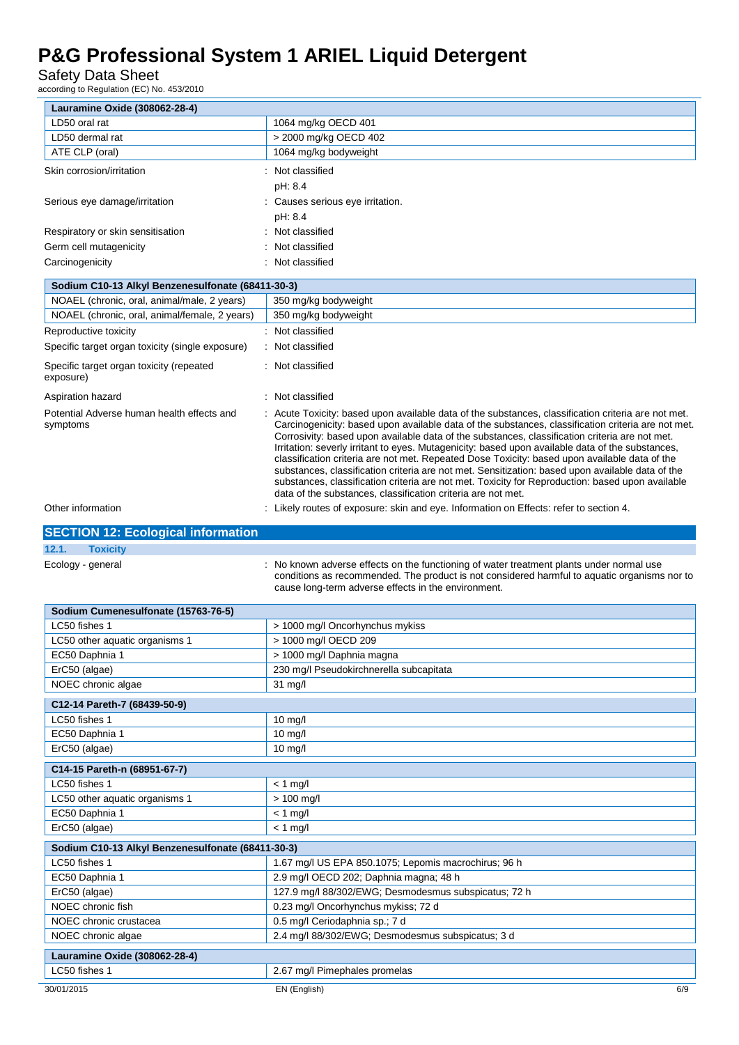Safety Data Sheet

according to Regulation (EC) No. 453/2010

| Lauramine Oxide (308062-28-4)                          |                                                                                                                                                                                                                                                                                                                                                                                                                 |
|--------------------------------------------------------|-----------------------------------------------------------------------------------------------------------------------------------------------------------------------------------------------------------------------------------------------------------------------------------------------------------------------------------------------------------------------------------------------------------------|
| LD50 oral rat                                          | 1064 mg/kg OECD 401                                                                                                                                                                                                                                                                                                                                                                                             |
| LD50 dermal rat                                        | > 2000 mg/kg OECD 402                                                                                                                                                                                                                                                                                                                                                                                           |
| ATE CLP (oral)                                         | 1064 mg/kg bodyweight                                                                                                                                                                                                                                                                                                                                                                                           |
| Skin corrosion/irritation                              | : Not classified                                                                                                                                                                                                                                                                                                                                                                                                |
|                                                        | pH: 8.4                                                                                                                                                                                                                                                                                                                                                                                                         |
| Serious eye damage/irritation                          | Causes serious eye irritation.                                                                                                                                                                                                                                                                                                                                                                                  |
|                                                        | pH: 8.4                                                                                                                                                                                                                                                                                                                                                                                                         |
| Respiratory or skin sensitisation                      | Not classified                                                                                                                                                                                                                                                                                                                                                                                                  |
| Germ cell mutagenicity                                 | Not classified                                                                                                                                                                                                                                                                                                                                                                                                  |
| Carcinogenicity                                        | Not classified                                                                                                                                                                                                                                                                                                                                                                                                  |
| Sodium C10-13 Alkyl Benzenesulfonate (68411-30-3)      |                                                                                                                                                                                                                                                                                                                                                                                                                 |
| NOAEL (chronic, oral, animal/male, 2 years)            | 350 mg/kg bodyweight                                                                                                                                                                                                                                                                                                                                                                                            |
| NOAEL (chronic, oral, animal/female, 2 years)          | 350 mg/kg bodyweight                                                                                                                                                                                                                                                                                                                                                                                            |
| Reproductive toxicity                                  | : Not classified                                                                                                                                                                                                                                                                                                                                                                                                |
| Specific target organ toxicity (single exposure)       | : Not classified                                                                                                                                                                                                                                                                                                                                                                                                |
| Specific target organ toxicity (repeated<br>exposure)  | : Not classified                                                                                                                                                                                                                                                                                                                                                                                                |
| Aspiration hazard                                      | Not classified                                                                                                                                                                                                                                                                                                                                                                                                  |
| Potential Adverse human health effects and<br>symptoms | : Acute Toxicity: based upon available data of the substances, classification criteria are not met.<br>Carcinogenicity: based upon available data of the substances, classification criteria are not met.<br>Corrosivity: based upon available data of the substances, classification criteria are not met.<br>Irritation: severly irritant to eyes. Mutagenicity: based upon available data of the substances, |

data of the substances, classification criteria are not met.

Other information **can be a constructed in the Constructed State Constructed State Information** on Effects: refer to section 4.

### **SECTION 12: Ecological information**

### **12.1. Toxicity**

Ecology - general **interpretatal interpretatal interpretation**: No known adverse effects on the functioning of water treatment plants under normal use conditions as recommended. The product is not considered harmful to aquatic organisms nor to cause long-term adverse effects in the environment.

classification criteria are not met. Repeated Dose Toxicity: based upon available data of the substances, classification criteria are not met. Sensitization: based upon available data of the substances, classification criteria are not met. Toxicity for Reproduction: based upon available

| Sodium Cumenesulfonate (15763-76-5)               |                                                      |     |  |
|---------------------------------------------------|------------------------------------------------------|-----|--|
| LC50 fishes 1                                     | > 1000 mg/l Oncorhynchus mykiss                      |     |  |
| LC50 other aquatic organisms 1                    | > 1000 mg/l OECD 209                                 |     |  |
| EC50 Daphnia 1                                    | > 1000 mg/l Daphnia magna                            |     |  |
| ErC50 (algae)                                     | 230 mg/l Pseudokirchnerella subcapitata              |     |  |
| NOEC chronic algae                                | 31 mg/l                                              |     |  |
| C12-14 Pareth-7 (68439-50-9)                      |                                                      |     |  |
| LC50 fishes 1                                     | $10$ mg/l                                            |     |  |
| EC50 Daphnia 1                                    | $10$ mg/l                                            |     |  |
| ErC50 (algae)                                     | $10$ mg/l                                            |     |  |
| C14-15 Pareth-n (68951-67-7)                      |                                                      |     |  |
| LC50 fishes 1                                     | $< 1$ mg/l                                           |     |  |
| LC50 other aquatic organisms 1                    | $> 100$ mg/l                                         |     |  |
| EC50 Daphnia 1                                    | $< 1$ mg/l                                           |     |  |
| ErC50 (algae)                                     | $< 1$ mg/l                                           |     |  |
| Sodium C10-13 Alkyl Benzenesulfonate (68411-30-3) |                                                      |     |  |
| LC50 fishes 1                                     | 1.67 mg/l US EPA 850.1075; Lepomis macrochirus; 96 h |     |  |
| EC50 Daphnia 1                                    | 2.9 mg/l OECD 202; Daphnia magna; 48 h               |     |  |
| ErC50 (algae)                                     | 127.9 mg/l 88/302/EWG; Desmodesmus subspicatus; 72 h |     |  |
| NOEC chronic fish                                 | 0.23 mg/l Oncorhynchus mykiss; 72 d                  |     |  |
| NOEC chronic crustacea                            | 0.5 mg/l Ceriodaphnia sp.; 7 d                       |     |  |
| NOEC chronic algae                                | 2.4 mg/l 88/302/EWG; Desmodesmus subspicatus; 3 d    |     |  |
| Lauramine Oxide (308062-28-4)                     |                                                      |     |  |
| LC50 fishes 1                                     | 2.67 mg/l Pimephales promelas                        |     |  |
| 30/01/2015                                        | EN (English)                                         | 6/9 |  |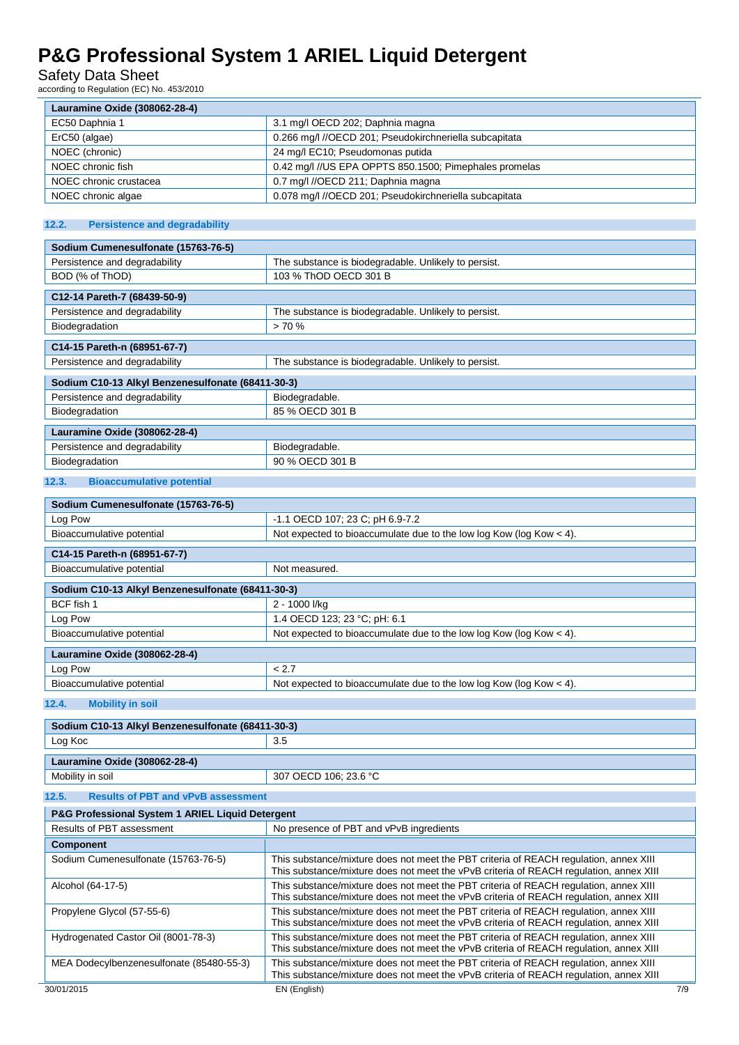### Safety Data Sheet

according to Regulation (EC) No. 453/2010

| Lauramine Oxide (308062-28-4) |                                                        |  |
|-------------------------------|--------------------------------------------------------|--|
| EC50 Daphnia 1                | 3.1 mg/l OECD 202; Daphnia magna                       |  |
| ErC50 (algae)                 | 0.266 mg/l //OECD 201; Pseudokirchneriella subcapitata |  |
| NOEC (chronic)                | 24 mg/l EC10; Pseudomonas putida                       |  |
| NOEC chronic fish             | 0.42 mg/l //US EPA OPPTS 850.1500; Pimephales promelas |  |
| NOEC chronic crustacea        | 0.7 mg/l //OECD 211; Daphnia magna                     |  |
| NOEC chronic algae            | 0.078 mg/l //OECD 201; Pseudokirchneriella subcapitata |  |

### **12.2. Persistence and degradability**

| Sodium Cumenesulfonate (15763-76-5)                 |                                                      |  |  |
|-----------------------------------------------------|------------------------------------------------------|--|--|
| Persistence and degradability                       | The substance is biodegradable. Unlikely to persist. |  |  |
| BOD (% of ThOD)                                     | 103 % ThOD OECD 301 B                                |  |  |
| C12-14 Pareth-7 (68439-50-9)                        |                                                      |  |  |
| Persistence and degradability                       | The substance is biodegradable. Unlikely to persist. |  |  |
| Biodegradation                                      | > 70%                                                |  |  |
| C14-15 Pareth-n (68951-67-7)                        |                                                      |  |  |
| Persistence and degradability                       | The substance is biodegradable. Unlikely to persist. |  |  |
| Sodium C10-13 Alkyl Benzenesulfonate (68411-30-3)   |                                                      |  |  |
| Persistence and degradability                       | Biodegradable.                                       |  |  |
| Biodegradation                                      | 85 % OECD 301 B                                      |  |  |
| Lauramine Oxide (308062-28-4)                       |                                                      |  |  |
| Persistence and degradability                       | Biodegradable.                                       |  |  |
| Biodegradation                                      | 90 % OECD 301 B                                      |  |  |
| 12 <sub>2</sub><br><b>Riogecumulative notential</b> |                                                      |  |  |

#### **umulative po**

| Sodium Cumenesulfonate (15763-76-5)               |                                                                       |  |
|---------------------------------------------------|-----------------------------------------------------------------------|--|
| Log Pow                                           | -1.1 OECD 107; 23 C; pH 6.9-7.2                                       |  |
| Bioaccumulative potential                         | Not expected to bioaccumulate due to the low log Kow (log Kow $<$ 4). |  |
| C14-15 Pareth-n (68951-67-7)                      |                                                                       |  |
| Bioaccumulative potential                         | Not measured.                                                         |  |
| Sodium C10-13 Alkyl Benzenesulfonate (68411-30-3) |                                                                       |  |
| BCF fish 1                                        | 2 - 1000 l/ka                                                         |  |
| Log Pow                                           | 1.4 OECD 123; 23 °C; pH: 6.1                                          |  |
| Bioaccumulative potential                         | Not expected to bioaccumulate due to the low log Kow (log Kow < 4).   |  |
| Lauramine Oxide (308062-28-4)                     |                                                                       |  |
| Log Pow                                           | < 2.7                                                                 |  |
| Bioaccumulative potential                         | Not expected to bioaccumulate due to the low log Kow (log Kow $<$ 4). |  |

#### **12.4. Mobility in soil**

| Sodium C10-13 Alkyl Benzenesulfonate (68411-30-3)           |                                                                                                                                                                                 |     |
|-------------------------------------------------------------|---------------------------------------------------------------------------------------------------------------------------------------------------------------------------------|-----|
| Log Koc                                                     | 3.5                                                                                                                                                                             |     |
|                                                             |                                                                                                                                                                                 |     |
| Lauramine Oxide (308062-28-4)                               |                                                                                                                                                                                 |     |
| Mobility in soil                                            | 307 OECD 106; 23.6 °C                                                                                                                                                           |     |
| <b>Results of PBT and vPvB assessment</b><br>12.5.          |                                                                                                                                                                                 |     |
| <b>P&amp;G Professional System 1 ARIEL Liquid Detergent</b> |                                                                                                                                                                                 |     |
| Results of PBT assessment                                   | No presence of PBT and vPvB ingredients                                                                                                                                         |     |
| <b>Component</b>                                            |                                                                                                                                                                                 |     |
| Sodium Cumenesulfonate (15763-76-5)                         | This substance/mixture does not meet the PBT criteria of REACH regulation, annex XIII<br>This substance/mixture does not meet the vPvB criteria of REACH regulation, annex XIII |     |
| Alcohol (64-17-5)                                           | This substance/mixture does not meet the PBT criteria of REACH regulation, annex XIII<br>This substance/mixture does not meet the vPvB criteria of REACH regulation, annex XIII |     |
| Propylene Glycol (57-55-6)                                  | This substance/mixture does not meet the PBT criteria of REACH regulation, annex XIII<br>This substance/mixture does not meet the vPvB criteria of REACH regulation, annex XIII |     |
| Hydrogenated Castor Oil (8001-78-3)                         | This substance/mixture does not meet the PBT criteria of REACH regulation, annex XIII<br>This substance/mixture does not meet the vPvB criteria of REACH regulation, annex XIII |     |
| MEA Dodecylbenzenesulfonate (85480-55-3)                    | This substance/mixture does not meet the PBT criteria of REACH regulation, annex XIII<br>This substance/mixture does not meet the vPvB criteria of REACH regulation, annex XIII |     |
| 30/01/2015                                                  | EN (English)                                                                                                                                                                    | 7/9 |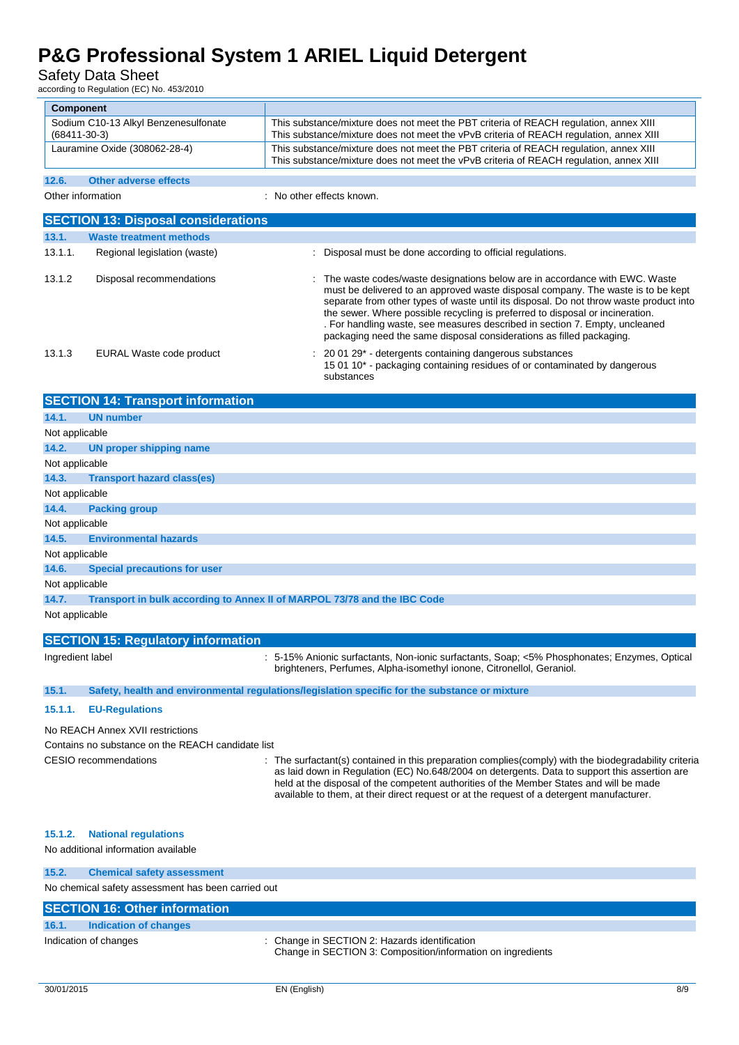Safety Data Sheet

according to Regulation (EC) No. 453/2010

| <b>Component</b>                                  | $10000$ and $10000$ and $10000$ and $10000$ and $2000$ |                                                                                                                                                                                                                                                                                                                                                                                                                                                                                                    |  |
|---------------------------------------------------|--------------------------------------------------------|----------------------------------------------------------------------------------------------------------------------------------------------------------------------------------------------------------------------------------------------------------------------------------------------------------------------------------------------------------------------------------------------------------------------------------------------------------------------------------------------------|--|
|                                                   | Sodium C10-13 Alkyl Benzenesulfonate                   | This substance/mixture does not meet the PBT criteria of REACH regulation, annex XIII                                                                                                                                                                                                                                                                                                                                                                                                              |  |
| $(68411 - 30 - 3)$                                |                                                        | This substance/mixture does not meet the vPvB criteria of REACH regulation, annex XIII                                                                                                                                                                                                                                                                                                                                                                                                             |  |
| Lauramine Oxide (308062-28-4)                     |                                                        | This substance/mixture does not meet the PBT criteria of REACH regulation, annex XIII<br>This substance/mixture does not meet the vPvB criteria of REACH regulation, annex XIII                                                                                                                                                                                                                                                                                                                    |  |
| 12.6.                                             | <b>Other adverse effects</b>                           |                                                                                                                                                                                                                                                                                                                                                                                                                                                                                                    |  |
|                                                   | Other information                                      | No other effects known.                                                                                                                                                                                                                                                                                                                                                                                                                                                                            |  |
|                                                   | <b>SECTION 13: Disposal considerations</b>             |                                                                                                                                                                                                                                                                                                                                                                                                                                                                                                    |  |
| 13.1.                                             | <b>Waste treatment methods</b>                         |                                                                                                                                                                                                                                                                                                                                                                                                                                                                                                    |  |
| 13.1.1.                                           | Regional legislation (waste)                           | : Disposal must be done according to official regulations.                                                                                                                                                                                                                                                                                                                                                                                                                                         |  |
| 13.1.2                                            | Disposal recommendations                               | : The waste codes/waste designations below are in accordance with EWC. Waste<br>must be delivered to an approved waste disposal company. The waste is to be kept<br>separate from other types of waste until its disposal. Do not throw waste product into<br>the sewer. Where possible recycling is preferred to disposal or incineration.<br>. For handling waste, see measures described in section 7. Empty, uncleaned<br>packaging need the same disposal considerations as filled packaging. |  |
| 13.1.3                                            | EURAL Waste code product                               | 20 01 29* - detergents containing dangerous substances<br>15 01 10 <sup>*</sup> - packaging containing residues of or contaminated by dangerous<br>substances                                                                                                                                                                                                                                                                                                                                      |  |
|                                                   | <b>SECTION 14: Transport information</b>               |                                                                                                                                                                                                                                                                                                                                                                                                                                                                                                    |  |
| 14.1.                                             | <b>UN number</b>                                       |                                                                                                                                                                                                                                                                                                                                                                                                                                                                                                    |  |
| Not applicable                                    |                                                        |                                                                                                                                                                                                                                                                                                                                                                                                                                                                                                    |  |
| 14.2.                                             | UN proper shipping name                                |                                                                                                                                                                                                                                                                                                                                                                                                                                                                                                    |  |
| Not applicable                                    |                                                        |                                                                                                                                                                                                                                                                                                                                                                                                                                                                                                    |  |
| 14.3.                                             | <b>Transport hazard class(es)</b>                      |                                                                                                                                                                                                                                                                                                                                                                                                                                                                                                    |  |
| Not applicable                                    |                                                        |                                                                                                                                                                                                                                                                                                                                                                                                                                                                                                    |  |
| 14.4.                                             | <b>Packing group</b>                                   |                                                                                                                                                                                                                                                                                                                                                                                                                                                                                                    |  |
| Not applicable                                    |                                                        |                                                                                                                                                                                                                                                                                                                                                                                                                                                                                                    |  |
| 14.5.                                             | <b>Environmental hazards</b>                           |                                                                                                                                                                                                                                                                                                                                                                                                                                                                                                    |  |
| Not applicable                                    |                                                        |                                                                                                                                                                                                                                                                                                                                                                                                                                                                                                    |  |
| 14.6.                                             | <b>Special precautions for user</b>                    |                                                                                                                                                                                                                                                                                                                                                                                                                                                                                                    |  |
| Not applicable                                    |                                                        |                                                                                                                                                                                                                                                                                                                                                                                                                                                                                                    |  |
| 14.7.                                             |                                                        | Transport in bulk according to Annex II of MARPOL 73/78 and the IBC Code                                                                                                                                                                                                                                                                                                                                                                                                                           |  |
| Not applicable                                    |                                                        |                                                                                                                                                                                                                                                                                                                                                                                                                                                                                                    |  |
| <b>SECTION 15: Regulatory information</b>         |                                                        |                                                                                                                                                                                                                                                                                                                                                                                                                                                                                                    |  |
| Ingredient label                                  |                                                        | : 5-15% Anionic surfactants, Non-ionic surfactants, Soap; <5% Phosphonates; Enzymes, Optical<br>brighteners, Perfumes, Alpha-isomethyl ionone, Citronellol, Geraniol.                                                                                                                                                                                                                                                                                                                              |  |
| 15.1.                                             |                                                        | Safety, health and environmental regulations/legislation specific for the substance or mixture                                                                                                                                                                                                                                                                                                                                                                                                     |  |
| 15.1.1.                                           | <b>EU-Regulations</b>                                  |                                                                                                                                                                                                                                                                                                                                                                                                                                                                                                    |  |
| No REACH Annex XVII restrictions                  |                                                        |                                                                                                                                                                                                                                                                                                                                                                                                                                                                                                    |  |
| Contains no substance on the REACH candidate list |                                                        |                                                                                                                                                                                                                                                                                                                                                                                                                                                                                                    |  |
|                                                   | CESIO recommendations                                  | : The surfactant(s) contained in this preparation complies(comply) with the biodegradability criteria<br>as laid down in Regulation (EC) No.648/2004 on detergents. Data to support this assertion are                                                                                                                                                                                                                                                                                             |  |

held at the disposal of the competent authorities of the Member States and will be made available to them, at their direct request or at the request of a detergent manufacturer.

#### **15.1.2. National regulations**

#### No additional information available

### **15.2. Chemical safety assessment**

No chemical safety assessment has been carried out

### **SECTION 16: Other information**

### **16.1. Indication of changes**

### Indication of changes **intervalled in SECTION 2: Hazards identification** : Change in SECTION 2: Hazards identification

Change in SECTION 3: Composition/information on ingredients